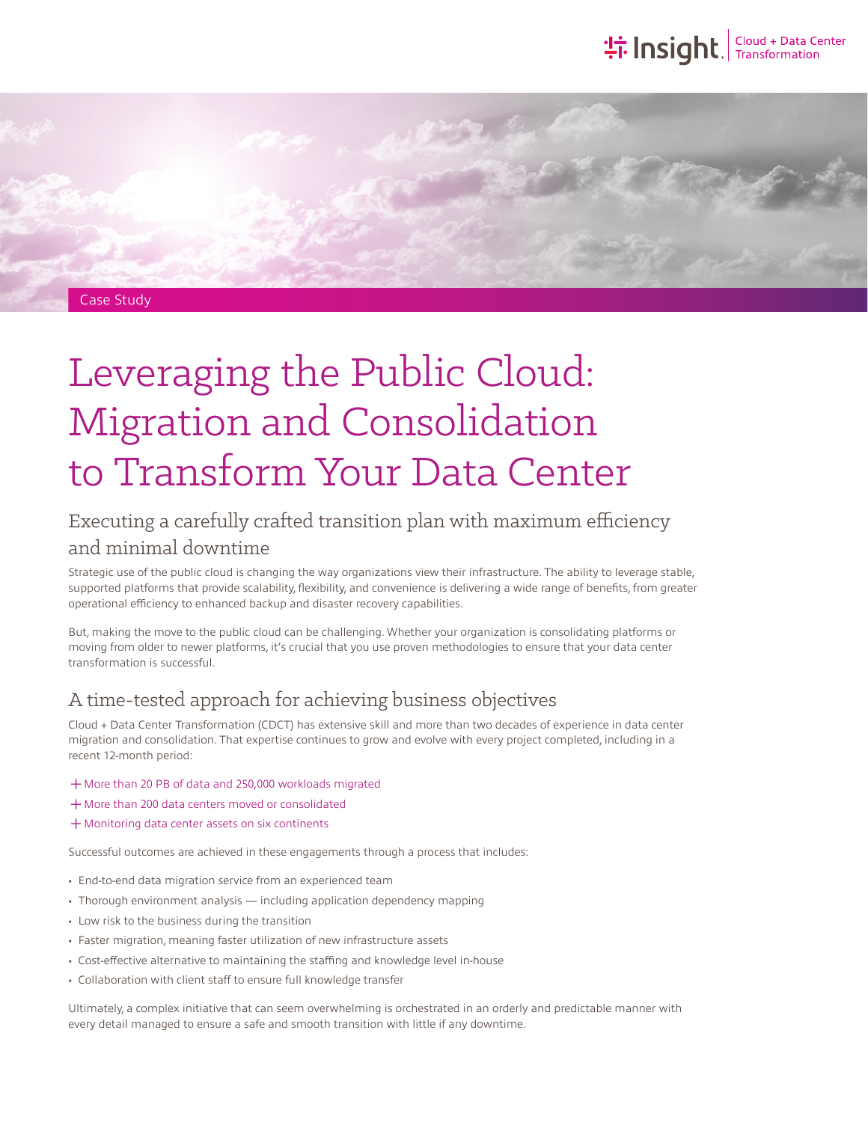## **the Insight**. Transformation



# Leveraging the Public Cloud: Migration and Consolidation to Transform Your Data Center

## Executing a carefully crafted transition plan with maximum efficiency and minimal downtime

Strategic use of the public cloud is changing the way organizations view their infrastructure. The ability to leverage stable, supported platforms that provide scalability, flexibility, and convenience is delivering a wide range of benefits, from greater operational efficiency to enhanced backup and disaster recovery capabilities.

But, making the move to the public cloud can be challenging. Whether your organization is consolidating platforms or moving from older to newer platforms, it's crucial that you use proven methodologies to ensure that your data center transformation is successful.

## A time-tested approach for achieving business objectives

Cloud + Data Center Transformation (CDCT) has extensive skill and more than two decades of experience in data center migration and consolidation. That expertise continues to grow and evolve with every project completed, including in a recent 12-month period:

- ͓More than 20 PB of data and 250,000 workloads migrated
- + More than 200 data centers moved or consolidated
- $+$  Monitoring data center assets on six continents

Successful outcomes are achieved in these engagements through a process that includes:

- End-to-end data migration service from an experienced team
- Thorough environment analysis including application dependency mapping
- Low risk to the business during the transition
- Faster migration, meaning faster utilization of new infrastructure assets
- Cost-effective alternative to maintaining the staffing and knowledge level in-house
- Collaboration with client staff to ensure full knowledge transfer

Ultimately, a complex initiative that can seem overwhelming is orchestrated in an orderly and predictable manner with every detail managed to ensure a safe and smooth transition with little if any downtime.